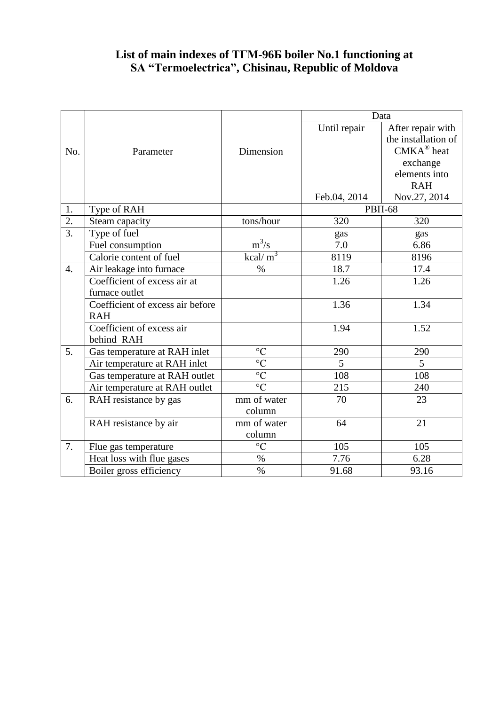## **List of main indexes of ТГМ-96Б boiler No.1 functioning at SA "Termoelectrica", Chisinau, Republic of Moldova**

|                  |                                  |                 | Data           |                       |
|------------------|----------------------------------|-----------------|----------------|-----------------------|
|                  |                                  |                 | Until repair   | After repair with     |
|                  |                                  |                 |                | the installation of   |
| No.              | Parameter                        | Dimension       |                | $CMKA^{\otimes}$ heat |
|                  |                                  |                 |                | exchange              |
|                  |                                  |                 |                | elements into         |
|                  |                                  |                 |                | <b>RAH</b>            |
|                  |                                  |                 | Feb.04, 2014   | Nov.27, 2014          |
| 1.               | Type of RAH                      |                 | <b>PBΠ-68</b>  |                       |
| $\overline{2}$ . | Steam capacity                   | tons/hour       | 320            | 320                   |
| $\overline{3}$ . | Type of fuel                     |                 | gas            | gas                   |
|                  | Fuel consumption                 | $m^3/s$         | 7.0            | 6.86                  |
|                  | Calorie content of fuel          | $kcal/m^3$      | 8119           | 8196                  |
| $\overline{4}$ . | Air leakage into furnace         | $\%$            | 18.7           | 17.4                  |
|                  | Coefficient of excess air at     |                 | 1.26           | 1.26                  |
|                  | furnace outlet                   |                 |                |                       |
|                  | Coefficient of excess air before |                 | 1.36           | 1.34                  |
|                  | <b>RAH</b>                       |                 |                |                       |
|                  | Coefficient of excess air        |                 | 1.94           | 1.52                  |
|                  | behind RAH                       |                 |                |                       |
| 5.               | Gas temperature at RAH inlet     | $\circ$ C       | 290            | 290                   |
|                  | Air temperature at RAH inlet     | $\overline{C}$  | $\overline{5}$ | $\overline{5}$        |
|                  | Gas temperature at RAH outlet    | $\overline{C}$  | 108            | 108                   |
|                  | Air temperature at RAH outlet    | $\overline{C}$  | 215            | 240                   |
| 6.               | RAH resistance by gas            | mm of water     | 70             | 23                    |
|                  |                                  | column          |                |                       |
|                  | RAH resistance by air            | mm of water     | 64             | 21                    |
|                  |                                  | column          |                |                       |
| 7.               | Flue gas temperature             | $\rm ^{\circ}C$ | 105            | 105                   |
|                  | Heat loss with flue gases        | $\%$            | 7.76           | 6.28                  |
|                  | Boiler gross efficiency          | $\%$            | 91.68          | 93.16                 |